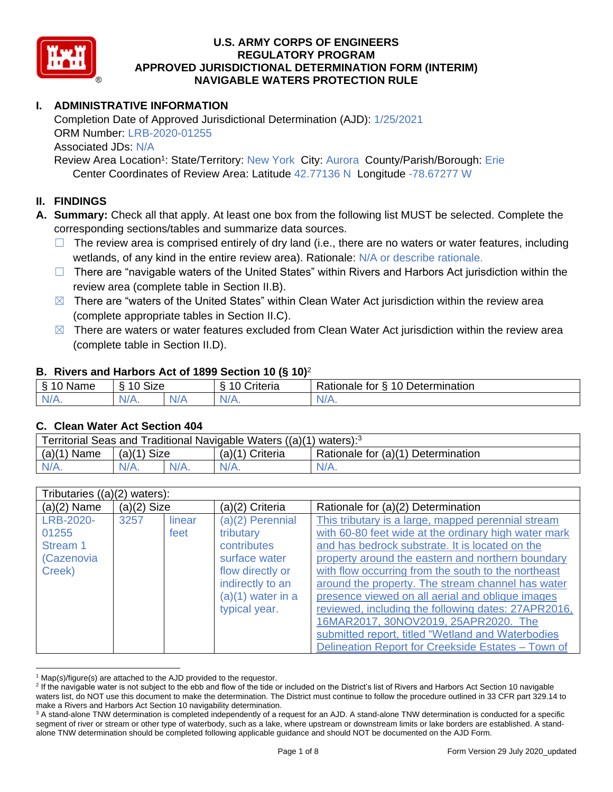

# **I. ADMINISTRATIVE INFORMATION**

Completion Date of Approved Jurisdictional Determination (AJD): 1/25/2021 ORM Number: LRB-2020-01255 Associated JDs: N/A Review Area Location<sup>1</sup>: State/Territory: New York City: Aurora County/Parish/Borough: Erie

Center Coordinates of Review Area: Latitude 42.77136 N Longitude -78.67277 W

## **II. FINDINGS**

**A. Summary:** Check all that apply. At least one box from the following list MUST be selected. Complete the corresponding sections/tables and summarize data sources.

- $\Box$  The review area is comprised entirely of dry land (i.e., there are no waters or water features, including wetlands, of any kind in the entire review area). Rationale: N/A or describe rationale.
- $\Box$  There are "navigable waters of the United States" within Rivers and Harbors Act jurisdiction within the review area (complete table in Section II.B).
- $\boxtimes$  There are "waters of the United States" within Clean Water Act jurisdiction within the review area (complete appropriate tables in Section II.C).
- $\boxtimes$  There are waters or water features excluded from Clean Water Act jurisdiction within the review area (complete table in Section II.D).

### **B. Rivers and Harbors Act of 1899 Section 10 (§ 10)**<sup>2</sup>

|                                                   |                           |     | $\sim$                          |                                              |
|---------------------------------------------------|---------------------------|-----|---------------------------------|----------------------------------------------|
| S<br>$\overline{\phantom{0}}$<br>Name<br>υ<br>- 7 | <b>Size</b><br>$\sqrt{2}$ |     | $\overline{ }$<br>;riteria<br>∼ | 10<br>-<br>Determination<br>≺atıonale<br>tor |
| N/L<br>$\mathbf{v}$                               | ,,<br>N/A.                | N/A | N/A.                            | N/A.                                         |

#### **C. Clean Water Act Section 404**

| Territorial Seas and Traditional Navigable Waters ((a)(1) waters): <sup>3</sup> |               |  |                   |                                    |  |
|---------------------------------------------------------------------------------|---------------|--|-------------------|------------------------------------|--|
| $(a)(1)$ Name                                                                   | $(a)(1)$ Size |  | $(a)(1)$ Criteria | Rationale for (a)(1) Determination |  |
|                                                                                 | $N/A$ .       |  | N/A               | $N/A$ .                            |  |

| Tributaries $((a)(2)$ waters):                         |               |                |                                                                                                                                                 |                                                                                                                                                                                                                                                                                                                                                                                                                                                                                                                                                                                              |
|--------------------------------------------------------|---------------|----------------|-------------------------------------------------------------------------------------------------------------------------------------------------|----------------------------------------------------------------------------------------------------------------------------------------------------------------------------------------------------------------------------------------------------------------------------------------------------------------------------------------------------------------------------------------------------------------------------------------------------------------------------------------------------------------------------------------------------------------------------------------------|
| $(a)(2)$ Name                                          | $(a)(2)$ Size |                | (a)(2) Criteria                                                                                                                                 | Rationale for (a)(2) Determination                                                                                                                                                                                                                                                                                                                                                                                                                                                                                                                                                           |
| LRB-2020-<br>01255<br>Stream 1<br>(Cazenovia<br>Creek) | 3257          | linear<br>feet | $(a)(2)$ Perennial<br>tributary<br>contributes<br>surface water<br>flow directly or<br>indirectly to an<br>$(a)(1)$ water in a<br>typical year. | This tributary is a large, mapped perennial stream<br>with 60-80 feet wide at the ordinary high water mark<br>and has bedrock substrate. It is located on the<br>property around the eastern and northern boundary<br>with flow occurring from the south to the northeast<br>around the property. The stream channel has water<br>presence viewed on all aerial and oblique images<br>reviewed, including the following dates: 27APR2016,<br>16MAR2017, 30NOV2019, 25APR2020. The<br>submitted report, titled "Wetland and Waterbodies<br>Delineation Report for Creekside Estates - Town of |

 $1$  Map(s)/figure(s) are attached to the AJD provided to the requestor.

<sup>&</sup>lt;sup>2</sup> If the navigable water is not subject to the ebb and flow of the tide or included on the District's list of Rivers and Harbors Act Section 10 navigable waters list, do NOT use this document to make the determination. The District must continue to follow the procedure outlined in 33 CFR part 329.14 to make a Rivers and Harbors Act Section 10 navigability determination.

<sup>&</sup>lt;sup>3</sup> A stand-alone TNW determination is completed independently of a request for an AJD. A stand-alone TNW determination is conducted for a specific segment of river or stream or other type of waterbody, such as a lake, where upstream or downstream limits or lake borders are established. A standalone TNW determination should be completed following applicable guidance and should NOT be documented on the AJD Form.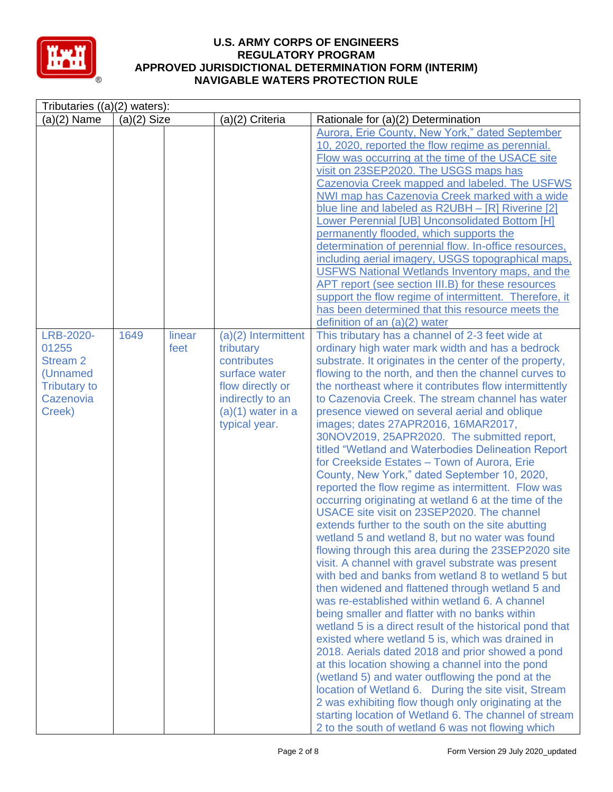

| Tributaries $((a)(2)$ waters):                                                                  |               |                |                                                                                                                                                    |                                                                                                                                                                                                                                                                                                                                                                                                                                                                                                                                                                                                                                                                                                                                                                                                                                                                                                                                                                                                                                                                                                                                                                                                                                                                                                                                                                                                                                                                                                                                                                                                                                                                                                                                              |
|-------------------------------------------------------------------------------------------------|---------------|----------------|----------------------------------------------------------------------------------------------------------------------------------------------------|----------------------------------------------------------------------------------------------------------------------------------------------------------------------------------------------------------------------------------------------------------------------------------------------------------------------------------------------------------------------------------------------------------------------------------------------------------------------------------------------------------------------------------------------------------------------------------------------------------------------------------------------------------------------------------------------------------------------------------------------------------------------------------------------------------------------------------------------------------------------------------------------------------------------------------------------------------------------------------------------------------------------------------------------------------------------------------------------------------------------------------------------------------------------------------------------------------------------------------------------------------------------------------------------------------------------------------------------------------------------------------------------------------------------------------------------------------------------------------------------------------------------------------------------------------------------------------------------------------------------------------------------------------------------------------------------------------------------------------------------|
| $(a)(2)$ Name                                                                                   | $(a)(2)$ Size |                | (a)(2) Criteria                                                                                                                                    | Rationale for (a)(2) Determination                                                                                                                                                                                                                                                                                                                                                                                                                                                                                                                                                                                                                                                                                                                                                                                                                                                                                                                                                                                                                                                                                                                                                                                                                                                                                                                                                                                                                                                                                                                                                                                                                                                                                                           |
|                                                                                                 |               |                |                                                                                                                                                    | Aurora, Erie County, New York," dated September<br>10, 2020, reported the flow regime as perennial.<br>Flow was occurring at the time of the USACE site<br>visit on 23SEP2020. The USGS maps has<br>Cazenovia Creek mapped and labeled. The USFWS<br>NWI map has Cazenovia Creek marked with a wide<br>blue line and labeled as R2UBH - [R] Riverine [2]<br>Lower Perennial [UB] Unconsolidated Bottom [H]<br>permanently flooded, which supports the<br>determination of perennial flow. In-office resources,<br>including aerial imagery, USGS topographical maps,<br><b>USFWS National Wetlands Inventory maps, and the</b><br>APT report (see section III.B) for these resources<br>support the flow regime of intermittent. Therefore, it<br>has been determined that this resource meets the<br>definition of an $(a)(2)$ water                                                                                                                                                                                                                                                                                                                                                                                                                                                                                                                                                                                                                                                                                                                                                                                                                                                                                                        |
| LRB-2020-<br>01255<br><b>Stream 2</b><br>(Unnamed<br><b>Tributary to</b><br>Cazenovia<br>Creek) | 1649          | linear<br>feet | $(a)(2)$ Intermittent<br>tributary<br>contributes<br>surface water<br>flow directly or<br>indirectly to an<br>$(a)(1)$ water in a<br>typical year. | This tributary has a channel of 2-3 feet wide at<br>ordinary high water mark width and has a bedrock<br>substrate. It originates in the center of the property,<br>flowing to the north, and then the channel curves to<br>the northeast where it contributes flow intermittently<br>to Cazenovia Creek. The stream channel has water<br>presence viewed on several aerial and oblique<br>images; dates 27APR2016, 16MAR2017,<br>30NOV2019, 25APR2020. The submitted report,<br>titled "Wetland and Waterbodies Delineation Report<br>for Creekside Estates - Town of Aurora, Erie<br>County, New York," dated September 10, 2020,<br>reported the flow regime as intermittent. Flow was<br>occurring originating at wetland 6 at the time of the<br>USACE site visit on 23SEP2020. The channel<br>extends further to the south on the site abutting<br>wetland 5 and wetland 8, but no water was found<br>flowing through this area during the 23SEP2020 site<br>visit. A channel with gravel substrate was present<br>with bed and banks from wetland 8 to wetland 5 but<br>then widened and flattened through wetland 5 and<br>was re-established within wetland 6. A channel<br>being smaller and flatter with no banks within<br>wetland 5 is a direct result of the historical pond that<br>existed where wetland 5 is, which was drained in<br>2018. Aerials dated 2018 and prior showed a pond<br>at this location showing a channel into the pond<br>(wetland 5) and water outflowing the pond at the<br>location of Wetland 6. During the site visit, Stream<br>2 was exhibiting flow though only originating at the<br>starting location of Wetland 6. The channel of stream<br>2 to the south of wetland 6 was not flowing which |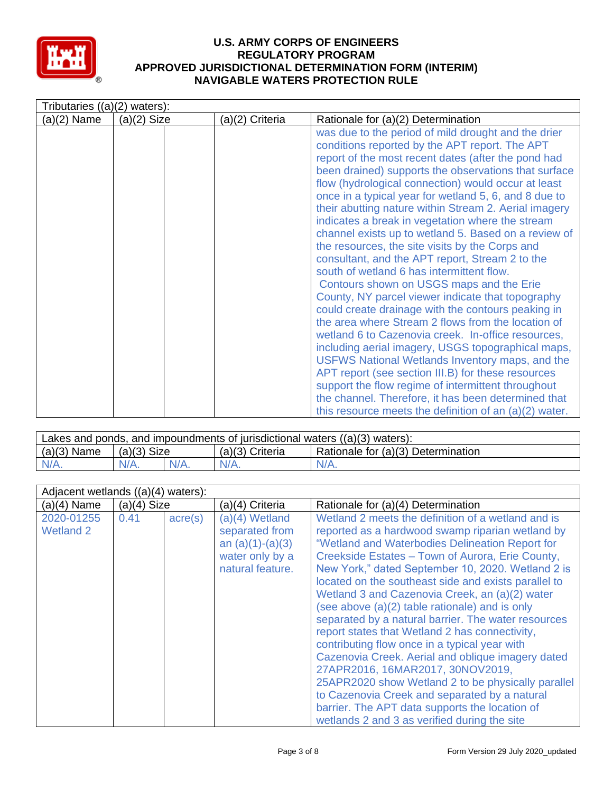

| Tributaries ((a)(2) waters): |               |                 |                                                                                                                                                                                                                                                                                                                                                                                                                                                                                                                                                                                                                                                                                                                                                                                                                                                                                                                                                                                                                                                                                                                                                                                                                                                                         |
|------------------------------|---------------|-----------------|-------------------------------------------------------------------------------------------------------------------------------------------------------------------------------------------------------------------------------------------------------------------------------------------------------------------------------------------------------------------------------------------------------------------------------------------------------------------------------------------------------------------------------------------------------------------------------------------------------------------------------------------------------------------------------------------------------------------------------------------------------------------------------------------------------------------------------------------------------------------------------------------------------------------------------------------------------------------------------------------------------------------------------------------------------------------------------------------------------------------------------------------------------------------------------------------------------------------------------------------------------------------------|
| (a)(2) Name                  | $(a)(2)$ Size | (a)(2) Criteria | Rationale for (a)(2) Determination                                                                                                                                                                                                                                                                                                                                                                                                                                                                                                                                                                                                                                                                                                                                                                                                                                                                                                                                                                                                                                                                                                                                                                                                                                      |
|                              |               |                 | was due to the period of mild drought and the drier<br>conditions reported by the APT report. The APT<br>report of the most recent dates (after the pond had<br>been drained) supports the observations that surface<br>flow (hydrological connection) would occur at least<br>once in a typical year for wetland 5, 6, and 8 due to<br>their abutting nature within Stream 2. Aerial imagery<br>indicates a break in vegetation where the stream<br>channel exists up to wetland 5. Based on a review of<br>the resources, the site visits by the Corps and<br>consultant, and the APT report, Stream 2 to the<br>south of wetland 6 has intermittent flow.<br>Contours shown on USGS maps and the Erie<br>County, NY parcel viewer indicate that topography<br>could create drainage with the contours peaking in<br>the area where Stream 2 flows from the location of<br>wetland 6 to Cazenovia creek. In-office resources,<br>including aerial imagery, USGS topographical maps,<br>USFWS National Wetlands Inventory maps, and the<br>APT report (see section III.B) for these resources<br>support the flow regime of intermittent throughout<br>the channel. Therefore, it has been determined that<br>this resource meets the definition of an $(a)(2)$ water. |

| Lakes and ponds, and impoundments of jurisdictional waters $((a)(3)$ waters): |               |         |                   |                                    |  |
|-------------------------------------------------------------------------------|---------------|---------|-------------------|------------------------------------|--|
| $(a)(3)$ Name                                                                 | $(a)(3)$ Size |         | $(a)(3)$ Criteria | Rationale for (a)(3) Determination |  |
| N/A.                                                                          | $N/A$ .       | $N/A$ . | $N/A$ .           | $N/A$ .                            |  |

| Adjacent wetlands $((a)(4)$ waters): |               |                  |                                                                                               |                                                                                                                                                                                                                                                                                                                                                                                                                                                                                                                                                                                                                                                                                                                                                                                                                                                                                            |
|--------------------------------------|---------------|------------------|-----------------------------------------------------------------------------------------------|--------------------------------------------------------------------------------------------------------------------------------------------------------------------------------------------------------------------------------------------------------------------------------------------------------------------------------------------------------------------------------------------------------------------------------------------------------------------------------------------------------------------------------------------------------------------------------------------------------------------------------------------------------------------------------------------------------------------------------------------------------------------------------------------------------------------------------------------------------------------------------------------|
| $(a)(4)$ Name                        | $(a)(4)$ Size |                  | (a)(4) Criteria                                                                               | Rationale for (a)(4) Determination                                                                                                                                                                                                                                                                                                                                                                                                                                                                                                                                                                                                                                                                                                                                                                                                                                                         |
| 2020-01255<br>Wetland 2              | 0.41          | $\text{acre}(s)$ | (a)(4) Wetland<br>separated from<br>an $(a)(1)-(a)(3)$<br>water only by a<br>natural feature. | Wetland 2 meets the definition of a wetland and is<br>reported as a hardwood swamp riparian wetland by<br>"Wetland and Waterbodies Delineation Report for<br>Creekside Estates - Town of Aurora, Erie County,<br>New York," dated September 10, 2020. Wetland 2 is<br>located on the southeast side and exists parallel to<br>Wetland 3 and Cazenovia Creek, an (a)(2) water<br>(see above (a)(2) table rationale) and is only<br>separated by a natural barrier. The water resources<br>report states that Wetland 2 has connectivity,<br>contributing flow once in a typical year with<br>Cazenovia Creek. Aerial and oblique imagery dated<br>27APR2016, 16MAR2017, 30NOV2019,<br>25APR2020 show Wetland 2 to be physically parallel<br>to Cazenovia Creek and separated by a natural<br>barrier. The APT data supports the location of<br>wetlands 2 and 3 as verified during the site |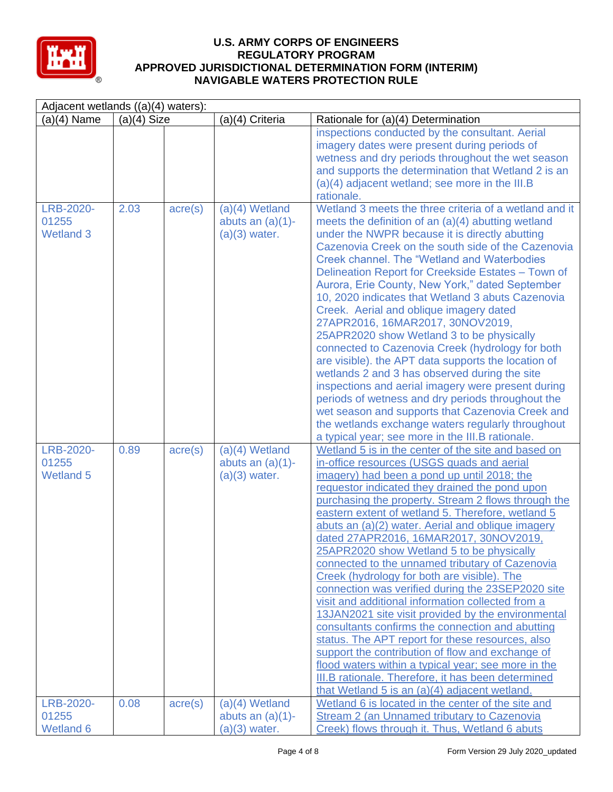

| Adjacent wetlands ((a)(4) waters):     |               |                  |                                                            |                                                                                                                                                                                                                                                                                                                                                                                                                                                                                                                                                                                                                                                                                                                                                                                                                                                                                                                                                                                                                                                        |
|----------------------------------------|---------------|------------------|------------------------------------------------------------|--------------------------------------------------------------------------------------------------------------------------------------------------------------------------------------------------------------------------------------------------------------------------------------------------------------------------------------------------------------------------------------------------------------------------------------------------------------------------------------------------------------------------------------------------------------------------------------------------------------------------------------------------------------------------------------------------------------------------------------------------------------------------------------------------------------------------------------------------------------------------------------------------------------------------------------------------------------------------------------------------------------------------------------------------------|
| $(a)(4)$ Name                          | $(a)(4)$ Size |                  | (a)(4) Criteria                                            | Rationale for (a)(4) Determination                                                                                                                                                                                                                                                                                                                                                                                                                                                                                                                                                                                                                                                                                                                                                                                                                                                                                                                                                                                                                     |
|                                        |               |                  |                                                            | inspections conducted by the consultant. Aerial<br>imagery dates were present during periods of<br>wetness and dry periods throughout the wet season<br>and supports the determination that Wetland 2 is an<br>(a)(4) adjacent wetland; see more in the III.B<br>rationale.                                                                                                                                                                                                                                                                                                                                                                                                                                                                                                                                                                                                                                                                                                                                                                            |
|                                        |               |                  |                                                            |                                                                                                                                                                                                                                                                                                                                                                                                                                                                                                                                                                                                                                                                                                                                                                                                                                                                                                                                                                                                                                                        |
| LRB-2020-<br>01255<br><b>Wetland 3</b> | 2.03          | $\text{acre}(s)$ | $(a)(4)$ Wetland<br>abuts an $(a)(1)$ -<br>$(a)(3)$ water. | Wetland 3 meets the three criteria of a wetland and it<br>meets the definition of an $(a)(4)$ abutting wetland<br>under the NWPR because it is directly abutting<br>Cazenovia Creek on the south side of the Cazenovia<br><b>Creek channel. The "Wetland and Waterbodies"</b><br>Delineation Report for Creekside Estates - Town of<br>Aurora, Erie County, New York," dated September<br>10, 2020 indicates that Wetland 3 abuts Cazenovia<br>Creek. Aerial and oblique imagery dated<br>27APR2016, 16MAR2017, 30NOV2019,<br>25APR2020 show Wetland 3 to be physically<br>connected to Cazenovia Creek (hydrology for both<br>are visible). the APT data supports the location of<br>wetlands 2 and 3 has observed during the site<br>inspections and aerial imagery were present during<br>periods of wetness and dry periods throughout the<br>wet season and supports that Cazenovia Creek and<br>the wetlands exchange waters regularly throughout<br>a typical year; see more in the III.B rationale.                                            |
| LRB-2020-<br>01255<br><b>Wetland 5</b> | 0.89          | $\text{acre}(s)$ | $(a)(4)$ Wetland<br>abuts an $(a)(1)$ -<br>$(a)(3)$ water. | Wetland 5 is in the center of the site and based on<br>in-office resources (USGS quads and aerial<br>imagery) had been a pond up until 2018; the<br>requestor indicated they drained the pond upon<br>purchasing the property. Stream 2 flows through the<br>eastern extent of wetland 5. Therefore, wetland 5<br>abuts an (a)(2) water. Aerial and oblique imagery<br>dated 27APR2016, 16MAR2017, 30NOV2019,<br>25APR2020 show Wetland 5 to be physically<br>connected to the unnamed tributary of Cazenovia<br>Creek (hydrology for both are visible). The<br>connection was verified during the 23SEP2020 site<br>visit and additional information collected from a<br>13JAN2021 site visit provided by the environmental<br>consultants confirms the connection and abutting<br>status. The APT report for these resources, also<br>support the contribution of flow and exchange of<br>flood waters within a typical year; see more in the<br>III.B rationale. Therefore, it has been determined<br>that Wetland 5 is an (a)(4) adjacent wetland. |
| LRB-2020-<br>01255<br>Wetland 6        | 0.08          | $\text{acre}(s)$ | $(a)(4)$ Wetland<br>abuts an $(a)(1)$ -<br>$(a)(3)$ water. | Wetland 6 is located in the center of the site and<br>Stream 2 (an Unnamed tributary to Cazenovia<br>Creek) flows through it. Thus, Wetland 6 abuts                                                                                                                                                                                                                                                                                                                                                                                                                                                                                                                                                                                                                                                                                                                                                                                                                                                                                                    |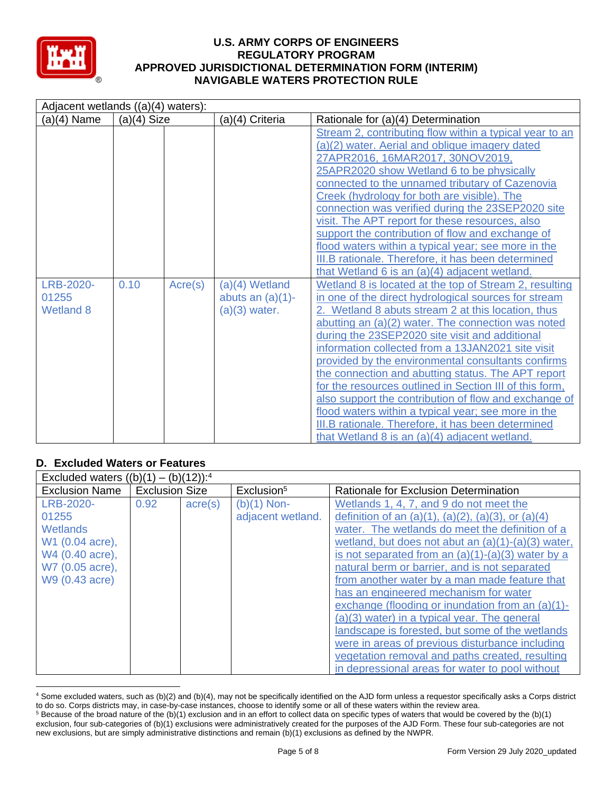

| Adjacent wetlands ((a)(4) waters):            |               |         |                                                          |                                                                                                                                                                                                                                                                                                                                                                                                                                                                                                                                                                                                                                                                                                                                                                                                                                                                                                                                                                                                                                                                                                                                                                                                                                                                                                                                                           |
|-----------------------------------------------|---------------|---------|----------------------------------------------------------|-----------------------------------------------------------------------------------------------------------------------------------------------------------------------------------------------------------------------------------------------------------------------------------------------------------------------------------------------------------------------------------------------------------------------------------------------------------------------------------------------------------------------------------------------------------------------------------------------------------------------------------------------------------------------------------------------------------------------------------------------------------------------------------------------------------------------------------------------------------------------------------------------------------------------------------------------------------------------------------------------------------------------------------------------------------------------------------------------------------------------------------------------------------------------------------------------------------------------------------------------------------------------------------------------------------------------------------------------------------|
| $(a)(4)$ Name                                 | $(a)(4)$ Size |         | (a)(4) Criteria                                          | Rationale for (a)(4) Determination                                                                                                                                                                                                                                                                                                                                                                                                                                                                                                                                                                                                                                                                                                                                                                                                                                                                                                                                                                                                                                                                                                                                                                                                                                                                                                                        |
| <b>LRB-2020-</b><br>01255<br><b>Wetland 8</b> | 0.10          | Acre(s) | (a)(4) Wetland<br>abuts an $(a)(1)$ -<br>$(a)(3)$ water. | Stream 2, contributing flow within a typical year to an<br>(a)(2) water. Aerial and oblique imagery dated<br>27APR2016, 16MAR2017, 30NOV2019,<br>25APR2020 show Wetland 6 to be physically<br>connected to the unnamed tributary of Cazenovia<br>Creek (hydrology for both are visible). The<br>connection was verified during the 23SEP2020 site<br>visit. The APT report for these resources, also<br>support the contribution of flow and exchange of<br>flood waters within a typical year; see more in the<br>III.B rationale. Therefore, it has been determined<br>that Wetland 6 is an (a)(4) adjacent wetland.<br>Wetland 8 is located at the top of Stream 2, resulting<br>in one of the direct hydrological sources for stream<br>2. Wetland 8 abuts stream 2 at this location, thus<br>abutting an (a)(2) water. The connection was noted<br>during the 23SEP2020 site visit and additional<br>information collected from a 13JAN2021 site visit<br>provided by the environmental consultants confirms<br>the connection and abutting status. The APT report<br>for the resources outlined in Section III of this form,<br>also support the contribution of flow and exchange of<br>flood waters within a typical year; see more in the<br>III.B rationale. Therefore, it has been determined<br>that Wetland 8 is an (a)(4) adjacent wetland. |

# **D. Excluded Waters or Features**

| Excluded waters $((b)(1) - (b)(12))$ : <sup>4</sup> |                       |                  |                        |                                                               |
|-----------------------------------------------------|-----------------------|------------------|------------------------|---------------------------------------------------------------|
| <b>Exclusion Name</b>                               | <b>Exclusion Size</b> |                  | Exclusion <sup>5</sup> | Rationale for Exclusion Determination                         |
| LRB-2020-                                           | 0.92                  | $\text{acre}(s)$ | $(b)(1)$ Non-          | Wetlands 1, 4, 7, and 9 do not meet the                       |
| 01255                                               |                       |                  | adjacent wetland.      | definition of an $(a)(1)$ , $(a)(2)$ , $(a)(3)$ , or $(a)(4)$ |
| Wetlands                                            |                       |                  |                        | water. The wetlands do meet the definition of a               |
| W1 (0.04 acre),                                     |                       |                  |                        | wetland, but does not abut an $(a)(1)-(a)(3)$ water,          |
| W4 (0.40 acre),                                     |                       |                  |                        | is not separated from an $(a)(1)-(a)(3)$ water by a           |
| W7 (0.05 acre),                                     |                       |                  |                        | natural berm or barrier, and is not separated                 |
| W9 (0.43 acre)                                      |                       |                  |                        | from another water by a man made feature that                 |
|                                                     |                       |                  |                        | has an engineered mechanism for water                         |
|                                                     |                       |                  |                        | exchange (flooding or inundation from an $(a)(1)$ -           |
|                                                     |                       |                  |                        | $(a)(3)$ water) in a typical year. The general                |
|                                                     |                       |                  |                        | landscape is forested, but some of the wetlands               |
|                                                     |                       |                  |                        | were in areas of previous disturbance including               |
|                                                     |                       |                  |                        | vegetation removal and paths created, resulting               |
|                                                     |                       |                  |                        | in depressional areas for water to pool without               |

<sup>4</sup> Some excluded waters, such as (b)(2) and (b)(4), may not be specifically identified on the AJD form unless a requestor specifically asks a Corps district to do so. Corps districts may, in case-by-case instances, choose to identify some or all of these waters within the review area.

 $5$  Because of the broad nature of the (b)(1) exclusion and in an effort to collect data on specific types of waters that would be covered by the (b)(1) exclusion, four sub-categories of (b)(1) exclusions were administratively created for the purposes of the AJD Form. These four sub-categories are not new exclusions, but are simply administrative distinctions and remain (b)(1) exclusions as defined by the NWPR.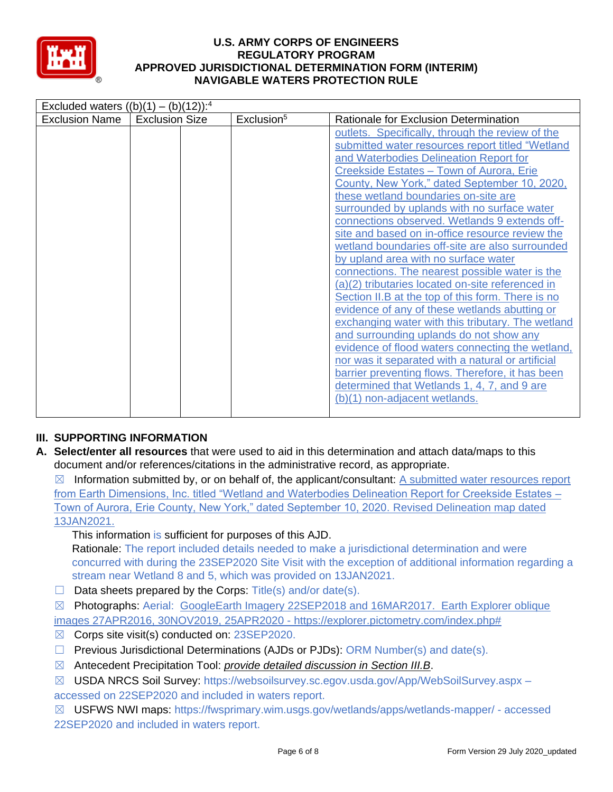

| Excluded waters $((b)(1) - (b)(12))$ : <sup>4</sup> |                       |                        |                                                                                                                                                                                                                                                                                                                                                                                                                                                                                                                                                                                                                                                                                                                                                                                                                                                                                                                                                                                                                                                                                           |
|-----------------------------------------------------|-----------------------|------------------------|-------------------------------------------------------------------------------------------------------------------------------------------------------------------------------------------------------------------------------------------------------------------------------------------------------------------------------------------------------------------------------------------------------------------------------------------------------------------------------------------------------------------------------------------------------------------------------------------------------------------------------------------------------------------------------------------------------------------------------------------------------------------------------------------------------------------------------------------------------------------------------------------------------------------------------------------------------------------------------------------------------------------------------------------------------------------------------------------|
| <b>Exclusion Name</b>                               | <b>Exclusion Size</b> | Exclusion <sup>5</sup> | Rationale for Exclusion Determination                                                                                                                                                                                                                                                                                                                                                                                                                                                                                                                                                                                                                                                                                                                                                                                                                                                                                                                                                                                                                                                     |
|                                                     |                       |                        | outlets. Specifically, through the review of the<br>submitted water resources report titled "Wetland<br>and Waterbodies Delineation Report for<br>Creekside Estates - Town of Aurora, Erie<br>County, New York," dated September 10, 2020,<br>these wetland boundaries on-site are<br>surrounded by uplands with no surface water<br>connections observed. Wetlands 9 extends off-<br>site and based on in-office resource review the<br>wetland boundaries off-site are also surrounded<br>by upland area with no surface water<br>connections. The nearest possible water is the<br>(a)(2) tributaries located on-site referenced in<br>Section II.B at the top of this form. There is no<br>evidence of any of these wetlands abutting or<br>exchanging water with this tributary. The wetland<br>and surrounding uplands do not show any<br>evidence of flood waters connecting the wetland,<br>nor was it separated with a natural or artificial<br>barrier preventing flows. Therefore, it has been<br>determined that Wetlands 1, 4, 7, and 9 are<br>(b)(1) non-adjacent wetlands. |

## **III. SUPPORTING INFORMATION**

**A. Select/enter all resources** that were used to aid in this determination and attach data/maps to this document and/or references/citations in the administrative record, as appropriate.

 $\boxtimes$  Information submitted by, or on behalf of, the applicant/consultant: A submitted water resources report from Earth Dimensions, Inc. titled "Wetland and Waterbodies Delineation Report for Creekside Estates – Town of Aurora, Erie County, New York," dated September 10, 2020. Revised Delineation map dated 13JAN2021.

This information is sufficient for purposes of this AJD.

Rationale: The report included details needed to make a jurisdictional determination and were concurred with during the 23SEP2020 Site Visit with the exception of additional information regarding a stream near Wetland 8 and 5, which was provided on 13JAN2021.

 $\Box$  Data sheets prepared by the Corps: Title(s) and/or date(s).

☒ Photographs: Aerial: GoogleEarth Imagery 22SEP2018 and 16MAR2017. Earth Explorer oblique images 27APR2016, 30NOV2019, 25APR2020 - https://explorer.pictometry.com/index.php#

- ☒ Corps site visit(s) conducted on: 23SEP2020.
- $\Box$  Previous Jurisdictional Determinations (AJDs or PJDs): ORM Number(s) and date(s).
- ☒ Antecedent Precipitation Tool: *provide detailed discussion in Section III.B*.
- ☒ USDA NRCS Soil Survey: https://websoilsurvey.sc.egov.usda.gov/App/WebSoilSurvey.aspx accessed on 22SEP2020 and included in waters report.

☒ USFWS NWI maps: https://fwsprimary.wim.usgs.gov/wetlands/apps/wetlands-mapper/ - accessed 22SEP2020 and included in waters report.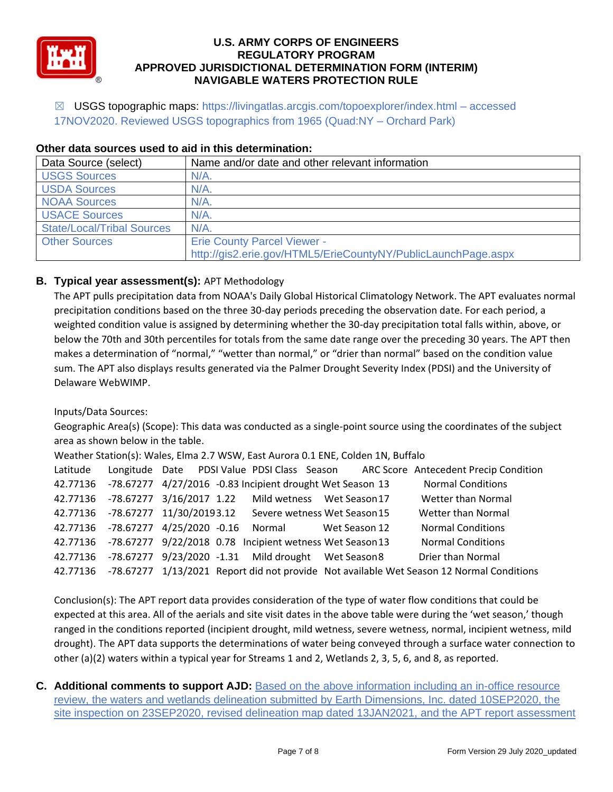

☒ USGS topographic maps: https://livingatlas.arcgis.com/topoexplorer/index.html – accessed 17NOV2020. Reviewed USGS topographics from 1965 (Quad:NY – Orchard Park)

| Data Source (select)              | Name and/or date and other relevant information               |
|-----------------------------------|---------------------------------------------------------------|
| <b>USGS Sources</b>               | $N/A$ .                                                       |
| <b>USDA Sources</b>               | $N/A$ .                                                       |
| <b>NOAA Sources</b>               | $N/A$ .                                                       |
| <b>USACE Sources</b>              | $N/A$ .                                                       |
| <b>State/Local/Tribal Sources</b> | N/A                                                           |
| <b>Other Sources</b>              | <b>Erie County Parcel Viewer -</b>                            |
|                                   | http://gis2.erie.gov/HTML5/ErieCountyNY/PublicLaunchPage.aspx |

### **Other data sources used to aid in this determination:**

# **B. Typical year assessment(s):** APT Methodology

The APT pulls precipitation data from NOAA's Daily Global Historical Climatology Network. The APT evaluates normal precipitation conditions based on the three 30-day periods preceding the observation date. For each period, a weighted condition value is assigned by determining whether the 30-day precipitation total falls within, above, or below the 70th and 30th percentiles for totals from the same date range over the preceding 30 years. The APT then makes a determination of "normal," "wetter than normal," or "drier than normal" based on the condition value sum. The APT also displays results generated via the Palmer Drought Severity Index (PDSI) and the University of Delaware WebWIMP.

Inputs/Data Sources:

Geographic Area(s) (Scope): This data was conducted as a single-point source using the coordinates of the subject area as shown below in the table.

Weather Station(s): Wales, Elma 2.7 WSW, East Aurora 0.1 ENE, Colden 1N, Buffalo

|  |  |                                                                    | Latitude Longitude Date PDSI Value PDSI Class Season ARC Score Antecedent Precip Condition        |
|--|--|--------------------------------------------------------------------|---------------------------------------------------------------------------------------------------|
|  |  | 42.77136 -78.67277 4/27/2016 -0.83 Incipient drought Wet Season 13 | <b>Normal Conditions</b>                                                                          |
|  |  | 42.77136 -78.67277 3/16/2017 1.22 Mild wetness Wet Season 17       | Wetter than Normal                                                                                |
|  |  | 42.77136 -78.67277 11/30/20193.12 Severe wetness Wet Season 15     | Wetter than Normal                                                                                |
|  |  | 42.77136 -78.67277 4/25/2020 -0.16 Normal Wet Season 12            | <b>Normal Conditions</b>                                                                          |
|  |  | 42.77136 -78.67277 9/22/2018 0.78 Incipient wetness Wet Season 13  | <b>Normal Conditions</b>                                                                          |
|  |  | 42.77136 -78.67277 9/23/2020 -1.31 Mild drought Wet Season 8       | Drier than Normal                                                                                 |
|  |  |                                                                    | 42.77136 -78.67277 1/13/2021 Report did not provide Not available Wet Season 12 Normal Conditions |

Conclusion(s): The APT report data provides consideration of the type of water flow conditions that could be expected at this area. All of the aerials and site visit dates in the above table were during the 'wet season,' though ranged in the conditions reported (incipient drought, mild wetness, severe wetness, normal, incipient wetness, mild drought). The APT data supports the determinations of water being conveyed through a surface water connection to other (a)(2) waters within a typical year for Streams 1 and 2, Wetlands 2, 3, 5, 6, and 8, as reported.

**C. Additional comments to support AJD:** Based on the above information including an in-office resource review, the waters and wetlands delineation submitted by Earth Dimensions, Inc. dated 10SEP2020, the site inspection on 23SEP2020, revised delineation map dated 13JAN2021, and the APT report assessment